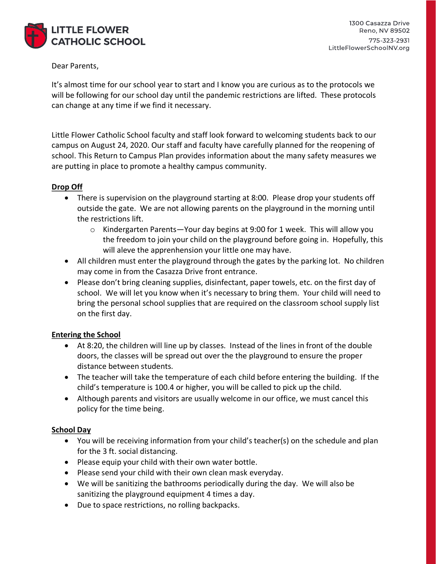

#### Dear Parents,

It's almost time for our school year to start and I know you are curious as to the protocols we will be following for our school day until the pandemic restrictions are lifted. These protocols can change at any time if we find it necessary.

Little Flower Catholic School faculty and staff look forward to welcoming students back to our campus on August 24, 2020. Our staff and faculty have carefully planned for the reopening of school. This Return to Campus Plan provides information about the many safety measures we are putting in place to promote a healthy campus community.

#### Drop Off

- There is supervision on the playground starting at 8:00. Please drop your students off outside the gate. We are not allowing parents on the playground in the morning until the restrictions lift.
	- $\circ$  Kindergarten Parents-Your day begins at 9:00 for 1 week. This will allow you the freedom to join your child on the playground before going in. Hopefully, this will aleve the apprenhension your little one may have.
- All children must enter the playground through the gates by the parking lot. No children may come in from the Casazza Drive front entrance.
- Please don't bring cleaning supplies, disinfectant, paper towels, etc. on the first day of school. We will let you know when it's necessary to bring them. Your child will need to bring the personal school supplies that are required on the classroom school supply list on the first day.

# **Entering the School**

- At 8:20, the children will line up by classes. Instead of the lines in front of the double doors, the classes will be spread out over the the playground to ensure the proper distance between students.
- The teacher will take the temperature of each child before entering the building. If the child's temperature is 100.4 or higher, you will be called to pick up the child.
- Although parents and visitors are usually welcome in our office, we must cancel this policy for the time being.

# **School Day**

- You will be receiving information from your child's teacher(s) on the schedule and plan for the 3 ft. social distancing.
- Please equip your child with their own water bottle.
- Please send your child with their own clean mask everyday.
- We will be sanitizing the bathrooms periodically during the day. We will also be sanitizing the playground equipment 4 times a day.
- Due to space restrictions, no rolling backpacks.